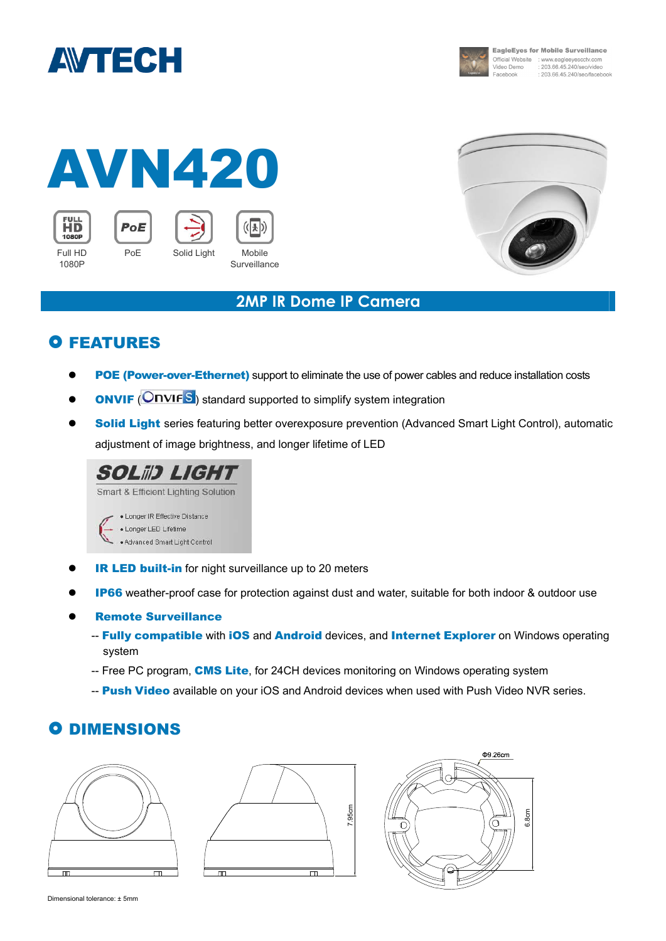



**EagleEyes for Mobile Surveillance** Official Website : www.eagleeyescctv.com<br>Video Demo : 203.66.45.240/seo/video : 203.66.45.240/seo/facebook Facebook

#### AVN420 **FULL** PoE  $(\vert \cdot \vert)$ 1080P PoE Solid Light Mobile Full HD



### **2MP IR Dome IP Camera**

## **O FEATURES**

1080P

- POE (Power-over-Ethernet) support to eliminate the use of power cables and reduce installation costs
- **ONVIF (ONVIFS)** standard supported to simplify system integration

**Surveillance** 

Solid Light series featuring better overexposure prevention (Advanced Smart Light Control), automatic adjustment of image brightness, and longer lifetime of LED



- **IR LED built-in** for night surveillance up to 20 meters
- **IP66** weather-proof case for protection against dust and water, suitable for both indoor & outdoor use
- Remote Surveillance
	- -- Fully compatible with iOS and Android devices, and Internet Explorer on Windows operating system
	- -- Free PC program, **CMS Lite**, for 24CH devices monitoring on Windows operating system
	- -- Push Video available on your iOS and Android devices when used with Push Video NVR series.

### **O DIMENSIONS**







Dimensional tolerance: ± 5mm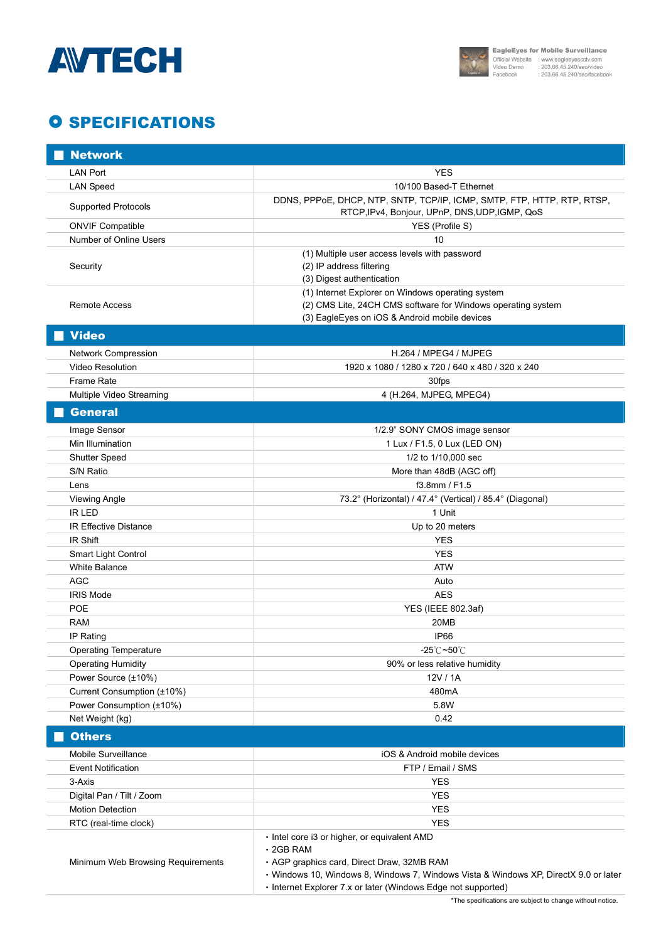



# **O SPECIFICATIONS**

| <b>Network</b>                    |                                                                                                                                                                                                                                                                        |
|-----------------------------------|------------------------------------------------------------------------------------------------------------------------------------------------------------------------------------------------------------------------------------------------------------------------|
| <b>LAN Port</b>                   | <b>YES</b>                                                                                                                                                                                                                                                             |
| <b>LAN Speed</b>                  | 10/100 Based-T Ethernet                                                                                                                                                                                                                                                |
| <b>Supported Protocols</b>        | DDNS, PPPOE, DHCP, NTP, SNTP, TCP/IP, ICMP, SMTP, FTP, HTTP, RTP, RTSP,<br>RTCP, IPv4, Bonjour, UPnP, DNS, UDP, IGMP, QoS                                                                                                                                              |
| <b>ONVIF Compatible</b>           | YES (Profile S)                                                                                                                                                                                                                                                        |
| Number of Online Users            | 10                                                                                                                                                                                                                                                                     |
| Security                          | (1) Multiple user access levels with password<br>(2) IP address filtering<br>(3) Digest authentication                                                                                                                                                                 |
| Remote Access                     | (1) Internet Explorer on Windows operating system<br>(2) CMS Lite, 24CH CMS software for Windows operating system<br>(3) EagleEyes on iOS & Android mobile devices                                                                                                     |
| <b>Video</b>                      |                                                                                                                                                                                                                                                                        |
| Network Compression               | H.264 / MPEG4 / MJPEG                                                                                                                                                                                                                                                  |
| <b>Video Resolution</b>           | 1920 x 1080 / 1280 x 720 / 640 x 480 / 320 x 240                                                                                                                                                                                                                       |
| Frame Rate                        | 30fps                                                                                                                                                                                                                                                                  |
| Multiple Video Streaming          | 4 (H.264, MJPEG, MPEG4)                                                                                                                                                                                                                                                |
| <b>General</b>                    |                                                                                                                                                                                                                                                                        |
|                                   |                                                                                                                                                                                                                                                                        |
| Image Sensor                      | 1/2.9" SONY CMOS image sensor                                                                                                                                                                                                                                          |
| Min Illumination                  | 1 Lux / F1.5, 0 Lux (LED ON)                                                                                                                                                                                                                                           |
| <b>Shutter Speed</b>              | 1/2 to 1/10,000 sec                                                                                                                                                                                                                                                    |
| S/N Ratio                         | More than 48dB (AGC off)<br>f3.8mm / F1.5                                                                                                                                                                                                                              |
| Lens<br><b>Viewing Angle</b>      | 73.2° (Horizontal) / 47.4° (Vertical) / 85.4° (Diagonal)                                                                                                                                                                                                               |
| <b>IR LED</b>                     | 1 Unit                                                                                                                                                                                                                                                                 |
| <b>IR Effective Distance</b>      | Up to 20 meters                                                                                                                                                                                                                                                        |
| IR Shift                          | <b>YES</b>                                                                                                                                                                                                                                                             |
| Smart Light Control               | <b>YES</b>                                                                                                                                                                                                                                                             |
| <b>White Balance</b>              | <b>ATW</b>                                                                                                                                                                                                                                                             |
| <b>AGC</b>                        | Auto                                                                                                                                                                                                                                                                   |
| <b>IRIS Mode</b>                  | <b>AES</b>                                                                                                                                                                                                                                                             |
| POE                               | YES (IEEE 802.3af)                                                                                                                                                                                                                                                     |
| <b>RAM</b>                        | 20MB                                                                                                                                                                                                                                                                   |
| IP Rating                         | IP66                                                                                                                                                                                                                                                                   |
| <b>Operating Temperature</b>      | $-25^{\circ}$ C $-50^{\circ}$ C                                                                                                                                                                                                                                        |
| <b>Operating Humidity</b>         | 90% or less relative humidity                                                                                                                                                                                                                                          |
| Power Source (±10%)               | 12V / 1A                                                                                                                                                                                                                                                               |
| Current Consumption (±10%)        | 480 <sub>m</sub> A                                                                                                                                                                                                                                                     |
| Power Consumption (±10%)          | 5.8W                                                                                                                                                                                                                                                                   |
| Net Weight (kg)                   | 0.42                                                                                                                                                                                                                                                                   |
| <b>Others</b>                     |                                                                                                                                                                                                                                                                        |
| Mobile Surveillance               | iOS & Android mobile devices                                                                                                                                                                                                                                           |
| <b>Event Notification</b>         | FTP / Email / SMS                                                                                                                                                                                                                                                      |
| 3-Axis                            | <b>YES</b>                                                                                                                                                                                                                                                             |
| Digital Pan / Tilt / Zoom         | <b>YES</b>                                                                                                                                                                                                                                                             |
| <b>Motion Detection</b>           | <b>YES</b>                                                                                                                                                                                                                                                             |
| RTC (real-time clock)             | <b>YES</b>                                                                                                                                                                                                                                                             |
| Minimum Web Browsing Requirements | • Intel core i3 or higher, or equivalent AMD<br>$\cdot$ 2GB RAM<br>• AGP graphics card, Direct Draw, 32MB RAM<br>· Windows 10, Windows 8, Windows 7, Windows Vista & Windows XP, DirectX 9.0 or later<br>• Internet Explorer 7.x or later (Windows Edge not supported) |